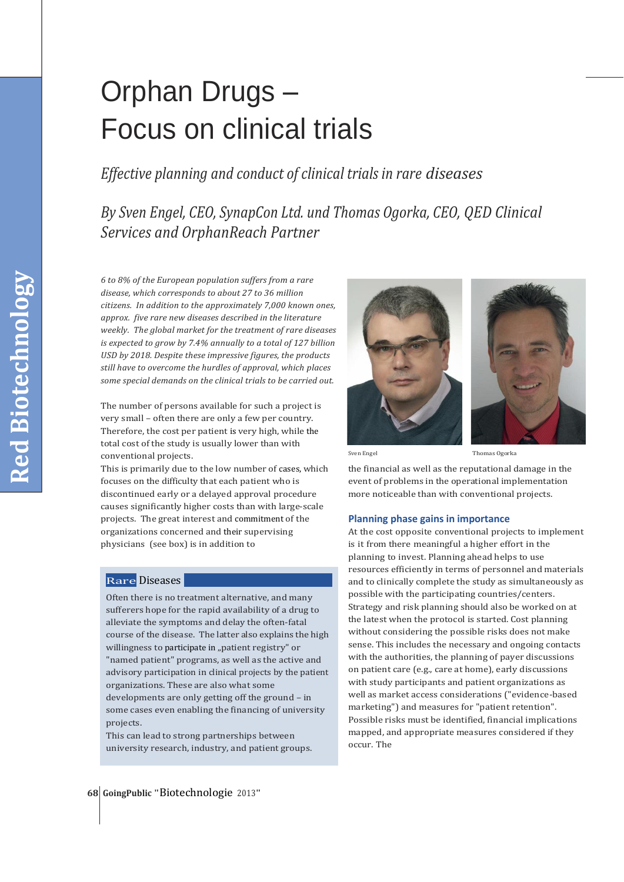# Orphan Drugs – Focus on clinical trials

*Effective planning and conduct of clinical trials in rare diseases*

*By Sven Engel, CEO, SynapCon Ltd. und Thomas Ogorka, CEO, QED Clinical Services and OrphanReach Partner*

*6 to 8% of the European population suffers from a rare disease, which corresponds to about 27 to 36 million citizens. In addition to the approximately 7,000 known ones, approx. five rare new diseases described in the literature weekly. The global market for the treatment of rare diseases is expected to grow by 7.4% annually to a total of 127 billion USD by 2018. Despite these impressive figures, the products still have to overcome the hurdles of approval, which places some special demands on the clinical trials to be carried out.* 

The number of persons available for such a project is very small – often there are only a few per country. Therefore, the cost per patient is very high, while the total cost of the study is usually lower than with conventional projects. Thomas Ogorka Thomas Ogorka Sven Engel Sven Engel Thomas Ogorka Thomas Ogorka

This is primarily due to the low number of cases, which focuses on the difficulty that each patient who is discontinued early or a delayed approval procedure causes significantly higher costs than with large-scale projects. The great interest and commitment of the organizations concerned and their supervising physicians (see box) is in addition to

## Rare Diseases

Often there is no treatment alternative, and many sufferers hope for the rapid availability of a drug to alleviate the symptoms and delay the often-fatal course of the disease. The latter also explains the high willingness to participate in "patient registry" or "named patient" programs, as well as the active and advisory participation in clinical projects by the patient organizations. These are also what some developments are only getting off the ground – in some cases even enabling the financing of university projects.

This can lead to strong partnerships between university research, industry, and patient groups.





the financial as well as the reputational damage in the event of problems in the operational implementation more noticeable than with conventional projects.

#### **Planning phase gains in importance**

At the cost opposite conventional projects to implement is it from there meaningful a higher effort in the planning to invest. Planning ahead helps to use resources efficiently in terms of personnel and materials and to clinically complete the study as simultaneously as possible with the participating countries/centers. Strategy and risk planning should also be worked on at the latest when the protocol is started. Cost planning without considering the possible risks does not make sense. This includes the necessary and ongoing contacts with the authorities, the planning of payer discussions on patient care (e.g., care at home), early discussions with study participants and patient organizations as well as market access considerations ("evidence-based marketing") and measures for "patient retention". Possible risks must be identified, financial implications mapped, and appropriate measures considered if they occur. The